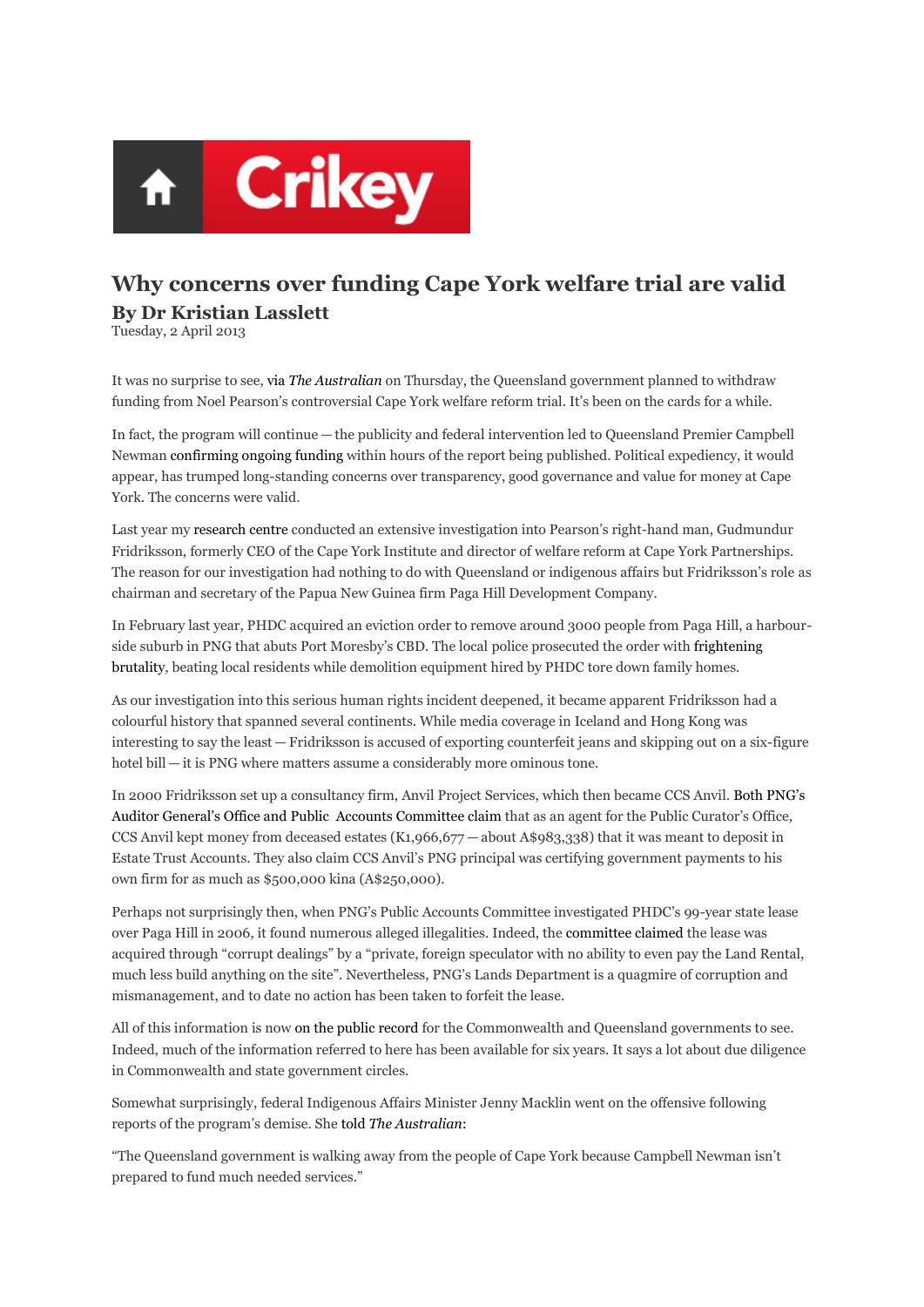

## **Why concerns over funding Cape York welfare trial are valid By Dr Kristian Lasslett**

Tuesday, 2 April 2013

It was no surprise to see, via *The Australian* on Thursday, the Queensland government planned to withdraw funding from Noel Pearson's controversial Cape York welfare reform trial. It's been on the cards for a while.

In fact, the program will continue — the publicity and federal intervention led to Queensland Premier Campbell Newman confirming ongoing funding within hours of the report being published. Political expediency, it would appear, has trumped long-standing concerns over transparency, good governance and value for money at Cape York. The concerns were valid.

Last year my research centre conducted an extensive investigation into Pearson's right-hand man, Gudmundur Fridriksson, formerly CEO of the Cape York Institute and director of welfare reform at Cape York Partnerships. The reason for our investigation had nothing to do with Queensland or indigenous affairs but Fridriksson's role as chairman and secretary of the Papua New Guinea firm Paga Hill Development Company.

In February last year, PHDC acquired an eviction order to remove around 3000 people from Paga Hill, a harbourside suburb in PNG that abuts Port Moresby's CBD. The local police prosecuted the order with frightening brutality, beating local residents while demolition equipment hired by PHDC tore down family homes.

As our investigation into this serious human rights incident deepened, it became apparent Fridriksson had a colourful history that spanned several continents. While media coverage in Iceland and Hong Kong was interesting to say the least — Fridriksson is accused of exporting counterfeit jeans and skipping out on a six-figure hotel bill — it is PNG where matters assume a considerably more ominous tone.

In 2000 Fridriksson set up a consultancy firm, Anvil Project Services, which then became CCS Anvil. Both PNG's Auditor General's Office and Public Accounts Committee claim that as an agent for the Public Curator's Office, CCS Anvil kept money from deceased estates (K1,966,677 — about A\$983,338) that it was meant to deposit in Estate Trust Accounts. They also claim CCS Anvil's PNG principal was certifying government payments to his own firm for as much as \$500,000 kina (A\$250,000).

Perhaps not surprisingly then, when PNG's Public Accounts Committee investigated PHDC's 99-year state lease over Paga Hill in 2006, it found numerous alleged illegalities. Indeed, the committee claimed the lease was acquired through "corrupt dealings" by a "private, foreign speculator with no ability to even pay the Land Rental, much less build anything on the site". Nevertheless, PNG's Lands Department is a quagmire of corruption and mismanagement, and to date no action has been taken to forfeit the lease.

All of this information is now on the public record for the Commonwealth and Queensland governments to see. Indeed, much of the information referred to here has been available for six years. It says a lot about due diligence in Commonwealth and state government circles.

Somewhat surprisingly, federal Indigenous Affairs Minister Jenny Macklin went on the offensive following reports of the program's demise. She told *The Australian*:

"The Queensland government is walking away from the people of Cape York because Campbell Newman isn't prepared to fund much needed services."